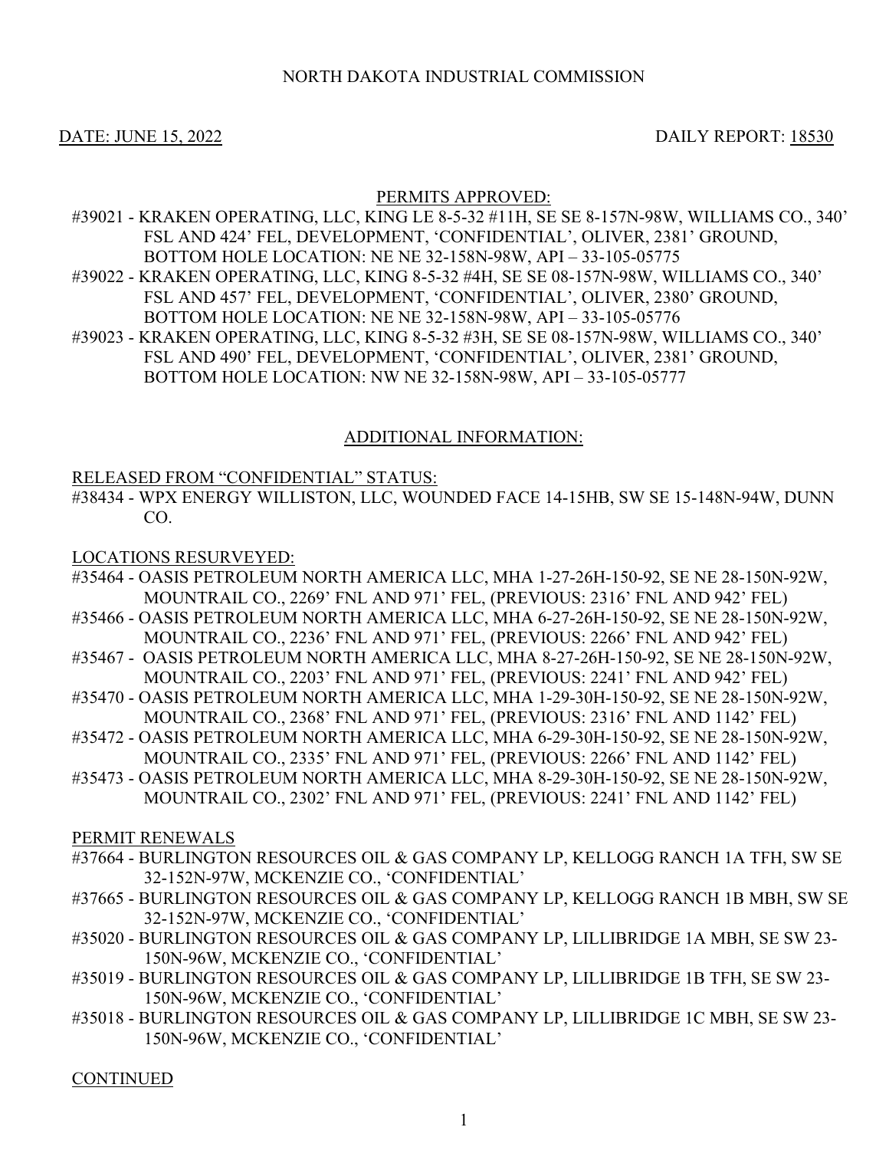## NORTH DAKOTA INDUSTRIAL COMMISSION

### DATE: JUNE 15, 2022 DAILY REPORT: 18530

#### PERMITS APPROVED:

- #39021 KRAKEN OPERATING, LLC, KING LE 8-5-32 #11H, SE SE 8-157N-98W, WILLIAMS CO., 340' FSL AND 424' FEL, DEVELOPMENT, 'CONFIDENTIAL', OLIVER, 2381' GROUND, BOTTOM HOLE LOCATION: NE NE 32-158N-98W, API – 33-105-05775
- #39022 KRAKEN OPERATING, LLC, KING 8-5-32 #4H, SE SE 08-157N-98W, WILLIAMS CO., 340' FSL AND 457' FEL, DEVELOPMENT, 'CONFIDENTIAL', OLIVER, 2380' GROUND, BOTTOM HOLE LOCATION: NE NE 32-158N-98W, API – 33-105-05776
- #39023 KRAKEN OPERATING, LLC, KING 8-5-32 #3H, SE SE 08-157N-98W, WILLIAMS CO., 340' FSL AND 490' FEL, DEVELOPMENT, 'CONFIDENTIAL', OLIVER, 2381' GROUND, BOTTOM HOLE LOCATION: NW NE 32-158N-98W, API – 33-105-05777

#### ADDITIONAL INFORMATION:

#### RELEASED FROM "CONFIDENTIAL" STATUS:

#38434 - WPX ENERGY WILLISTON, LLC, WOUNDED FACE 14-15HB, SW SE 15-148N-94W, DUNN CO.

#### LOCATIONS RESURVEYED:

- #35464 OASIS PETROLEUM NORTH AMERICA LLC, MHA 1-27-26H-150-92, SE NE 28-150N-92W, MOUNTRAIL CO., 2269' FNL AND 971' FEL, (PREVIOUS: 2316' FNL AND 942' FEL)
- #35466 OASIS PETROLEUM NORTH AMERICA LLC, MHA 6-27-26H-150-92, SE NE 28-150N-92W, MOUNTRAIL CO., 2236' FNL AND 971' FEL, (PREVIOUS: 2266' FNL AND 942' FEL)
- #35467 OASIS PETROLEUM NORTH AMERICA LLC, MHA 8-27-26H-150-92, SE NE 28-150N-92W, MOUNTRAIL CO., 2203' FNL AND 971' FEL, (PREVIOUS: 2241' FNL AND 942' FEL)
- #35470 OASIS PETROLEUM NORTH AMERICA LLC, MHA 1-29-30H-150-92, SE NE 28-150N-92W, MOUNTRAIL CO., 2368' FNL AND 971' FEL, (PREVIOUS: 2316' FNL AND 1142' FEL)
- #35472 OASIS PETROLEUM NORTH AMERICA LLC, MHA 6-29-30H-150-92, SE NE 28-150N-92W, MOUNTRAIL CO., 2335' FNL AND 971' FEL, (PREVIOUS: 2266' FNL AND 1142' FEL)
- #35473 OASIS PETROLEUM NORTH AMERICA LLC, MHA 8-29-30H-150-92, SE NE 28-150N-92W, MOUNTRAIL CO., 2302' FNL AND 971' FEL, (PREVIOUS: 2241' FNL AND 1142' FEL)

PERMIT RENEWALS

- #37664 BURLINGTON RESOURCES OIL & GAS COMPANY LP, KELLOGG RANCH 1A TFH, SW SE 32-152N-97W, MCKENZIE CO., 'CONFIDENTIAL'
- #37665 BURLINGTON RESOURCES OIL & GAS COMPANY LP, KELLOGG RANCH 1B MBH, SW SE 32-152N-97W, MCKENZIE CO., 'CONFIDENTIAL'
- #35020 BURLINGTON RESOURCES OIL & GAS COMPANY LP, LILLIBRIDGE 1A MBH, SE SW 23- 150N-96W, MCKENZIE CO., 'CONFIDENTIAL'
- #35019 BURLINGTON RESOURCES OIL & GAS COMPANY LP, LILLIBRIDGE 1B TFH, SE SW 23- 150N-96W, MCKENZIE CO., 'CONFIDENTIAL'
- #35018 BURLINGTON RESOURCES OIL & GAS COMPANY LP, LILLIBRIDGE 1C MBH, SE SW 23- 150N-96W, MCKENZIE CO., 'CONFIDENTIAL'

**CONTINUED**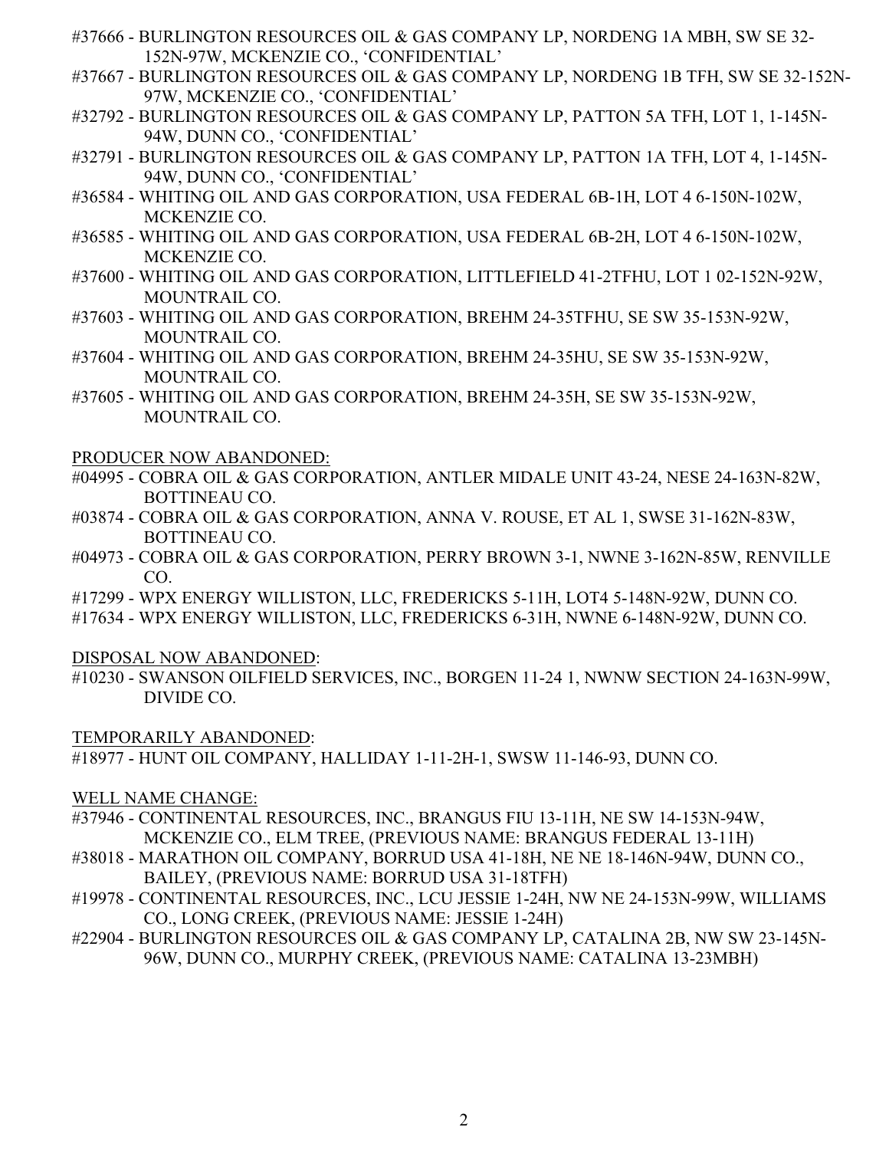- #37666 BURLINGTON RESOURCES OIL & GAS COMPANY LP, NORDENG 1A MBH, SW SE 32- 152N-97W, MCKENZIE CO., 'CONFIDENTIAL'
- #37667 BURLINGTON RESOURCES OIL & GAS COMPANY LP, NORDENG 1B TFH, SW SE 32-152N-97W, MCKENZIE CO., 'CONFIDENTIAL'
- #32792 BURLINGTON RESOURCES OIL & GAS COMPANY LP, PATTON 5A TFH, LOT 1, 1-145N-94W, DUNN CO., 'CONFIDENTIAL'
- #32791 BURLINGTON RESOURCES OIL & GAS COMPANY LP, PATTON 1A TFH, LOT 4, 1-145N-94W, DUNN CO., 'CONFIDENTIAL'
- #36584 WHITING OIL AND GAS CORPORATION, USA FEDERAL 6B-1H, LOT 4 6-150N-102W, MCKENZIE CO.
- #36585 WHITING OIL AND GAS CORPORATION, USA FEDERAL 6B-2H, LOT 4 6-150N-102W, MCKENZIE CO.
- #37600 WHITING OIL AND GAS CORPORATION, LITTLEFIELD 41-2TFHU, LOT 1 02-152N-92W, MOUNTRAIL CO.
- #37603 WHITING OIL AND GAS CORPORATION, BREHM 24-35TFHU, SE SW 35-153N-92W, MOUNTRAIL CO.
- #37604 WHITING OIL AND GAS CORPORATION, BREHM 24-35HU, SE SW 35-153N-92W, MOUNTRAIL CO.
- #37605 WHITING OIL AND GAS CORPORATION, BREHM 24-35H, SE SW 35-153N-92W, MOUNTRAIL CO.

PRODUCER NOW ABANDONED:

- #04995 COBRA OIL & GAS CORPORATION, ANTLER MIDALE UNIT 43-24, NESE 24-163N-82W, BOTTINEAU CO.
- #03874 COBRA OIL & GAS CORPORATION, ANNA V. ROUSE, ET AL 1, SWSE 31-162N-83W, BOTTINEAU CO.
- #04973 COBRA OIL & GAS CORPORATION, PERRY BROWN 3-1, NWNE 3-162N-85W, RENVILLE CO.
- #17299 WPX ENERGY WILLISTON, LLC, FREDERICKS 5-11H, LOT4 5-148N-92W, DUNN CO.
- #17634 WPX ENERGY WILLISTON, LLC, FREDERICKS 6-31H, NWNE 6-148N-92W, DUNN CO.

DISPOSAL NOW ABANDONED:

#10230 - SWANSON OILFIELD SERVICES, INC., BORGEN 11-24 1, NWNW SECTION 24-163N-99W, DIVIDE CO.

TEMPORARILY ABANDONED:

#18977 - HUNT OIL COMPANY, HALLIDAY 1-11-2H-1, SWSW 11-146-93, DUNN CO.

WELL NAME CHANGE:

- #37946 CONTINENTAL RESOURCES, INC., BRANGUS FIU 13-11H, NE SW 14-153N-94W, MCKENZIE CO., ELM TREE, (PREVIOUS NAME: BRANGUS FEDERAL 13-11H)
- #38018 MARATHON OIL COMPANY, BORRUD USA 41-18H, NE NE 18-146N-94W, DUNN CO., BAILEY, (PREVIOUS NAME: BORRUD USA 31-18TFH)
- #19978 CONTINENTAL RESOURCES, INC., LCU JESSIE 1-24H, NW NE 24-153N-99W, WILLIAMS CO., LONG CREEK, (PREVIOUS NAME: JESSIE 1-24H)
- #22904 BURLINGTON RESOURCES OIL & GAS COMPANY LP, CATALINA 2B, NW SW 23-145N-96W, DUNN CO., MURPHY CREEK, (PREVIOUS NAME: CATALINA 13-23MBH)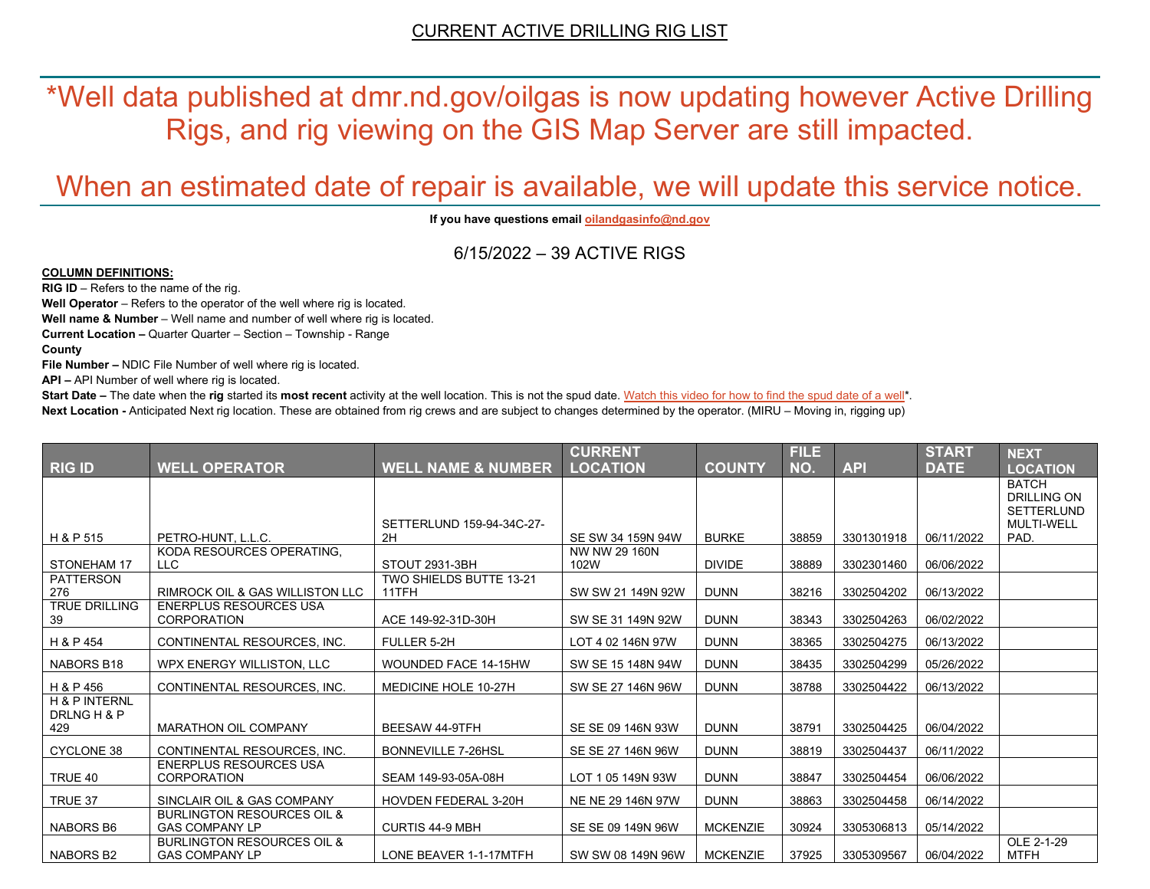\*Well data published at dmr.nd.gov/oilgas is now updating however Active Drilling Rigs, and rig viewing on the GIS Map Server are still impacted.

# When an estimated date of repair is available, we will update this service notice.

**If you have questions emai[l oilandgasinfo@nd.gov](mailto:oilandgasinfo@nd.gov)**

6/15/2022 – 39 ACTIVE RIGS

#### **COLUMN DEFINITIONS:**

**RIG ID** – Refers to the name of the rig.

**Well Operator** – Refers to the operator of the well where rig is located.

**Well name & Number** – Well name and number of well where rig is located.

**Current Location –** Quarter Quarter – Section – Township - Range

**County**

**File Number –** NDIC File Number of well where rig is located.

**API –** API Number of well where rig is located.

**Start Date** – The date when the **rig** started its most recent activity at the well location. This is not the spud date. Watch this video for how [to find the spud date of a well\\*](https://youtu.be/JjWwzuuMVpM). **Next Location -** Anticipated Next rig location. These are obtained from rig crews and are subject to changes determined by the operator. (MIRU – Moving in, rigging up)

|                                                |                                                                |                                  | <b>CURRENT</b>        |                 | <b>FILE</b> |            | <b>START</b> | <b>NEXT</b>                                                                  |
|------------------------------------------------|----------------------------------------------------------------|----------------------------------|-----------------------|-----------------|-------------|------------|--------------|------------------------------------------------------------------------------|
| <b>RIG ID</b>                                  | <b>WELL OPERATOR</b>                                           | <b>WELL NAME &amp; NUMBER</b>    | <b>LOCATION</b>       | <b>COUNTY</b>   | NO.         | <b>API</b> | <b>DATE</b>  | <b>LOCATION</b>                                                              |
|                                                |                                                                | SETTERLUND 159-94-34C-27-        |                       |                 |             |            |              | <b>BATCH</b><br><b>DRILLING ON</b><br><b>SETTERLUND</b><br><b>MULTI-WELL</b> |
| H & P 515                                      | PETRO-HUNT, L.L.C.                                             | 2H                               | SE SW 34 159N 94W     | <b>BURKE</b>    | 38859       | 3301301918 | 06/11/2022   | PAD.                                                                         |
| <b>STONEHAM 17</b>                             | KODA RESOURCES OPERATING,<br>LLC.                              | STOUT 2931-3BH                   | NW NW 29 160N<br>102W | <b>DIVIDE</b>   | 38889       | 3302301460 | 06/06/2022   |                                                                              |
| PATTERSON<br>276                               | <b>RIMROCK OIL &amp; GAS WILLISTON LLC</b>                     | TWO SHIELDS BUTTE 13-21<br>11TFH | SW SW 21 149N 92W     | <b>DUNN</b>     | 38216       | 3302504202 | 06/13/2022   |                                                                              |
| <b>TRUE DRILLING</b><br>39                     | <b>ENERPLUS RESOURCES USA</b><br><b>CORPORATION</b>            | ACE 149-92-31D-30H               | SW SE 31 149N 92W     | <b>DUNN</b>     | 38343       | 3302504263 | 06/02/2022   |                                                                              |
| H & P 454                                      | CONTINENTAL RESOURCES, INC.                                    | FULLER 5-2H                      | LOT 4 02 146N 97W     | <b>DUNN</b>     | 38365       | 3302504275 | 06/13/2022   |                                                                              |
| NABORS B18                                     | WPX ENERGY WILLISTON, LLC                                      | <b>WOUNDED FACE 14-15HW</b>      | SW SE 15 148N 94W     | <b>DUNN</b>     | 38435       | 3302504299 | 05/26/2022   |                                                                              |
| H & P 456                                      | CONTINENTAL RESOURCES, INC.                                    | MEDICINE HOLE 10-27H             | SW SE 27 146N 96W     | <b>DUNN</b>     | 38788       | 3302504422 | 06/13/2022   |                                                                              |
| <b>H &amp; P INTERNL</b><br>DRLNG H & P<br>429 | <b>MARATHON OIL COMPANY</b>                                    | <b>BEESAW 44-9TFH</b>            | SE SE 09 146N 93W     | <b>DUNN</b>     | 38791       | 3302504425 | 06/04/2022   |                                                                              |
| <b>CYCLONE 38</b>                              | CONTINENTAL RESOURCES. INC.                                    | <b>BONNEVILLE 7-26HSL</b>        | SE SE 27 146N 96W     | <b>DUNN</b>     | 38819       | 3302504437 | 06/11/2022   |                                                                              |
| TRUE 40                                        | <b>ENERPLUS RESOURCES USA</b><br>CORPORATION                   | SEAM 149-93-05A-08H              | LOT 1 05 149N 93W     | <b>DUNN</b>     | 38847       | 3302504454 | 06/06/2022   |                                                                              |
| TRUE 37                                        | SINCLAIR OIL & GAS COMPANY                                     | <b>HOVDEN FEDERAL 3-20H</b>      | NE NE 29 146N 97W     | <b>DUNN</b>     | 38863       | 3302504458 | 06/14/2022   |                                                                              |
| NABORS B6                                      | <b>BURLINGTON RESOURCES OIL &amp;</b><br><b>GAS COMPANY LP</b> | <b>CURTIS 44-9 MBH</b>           | SE SE 09 149N 96W     | <b>MCKENZIE</b> | 30924       | 3305306813 | 05/14/2022   |                                                                              |
| NABORS B2                                      | <b>BURLINGTON RESOURCES OIL &amp;</b><br><b>GAS COMPANY LP</b> | LONE BEAVER 1-1-17MTFH           | SW SW 08 149N 96W     | <b>MCKENZIE</b> | 37925       | 3305309567 | 06/04/2022   | OLE 2-1-29<br><b>MTFH</b>                                                    |